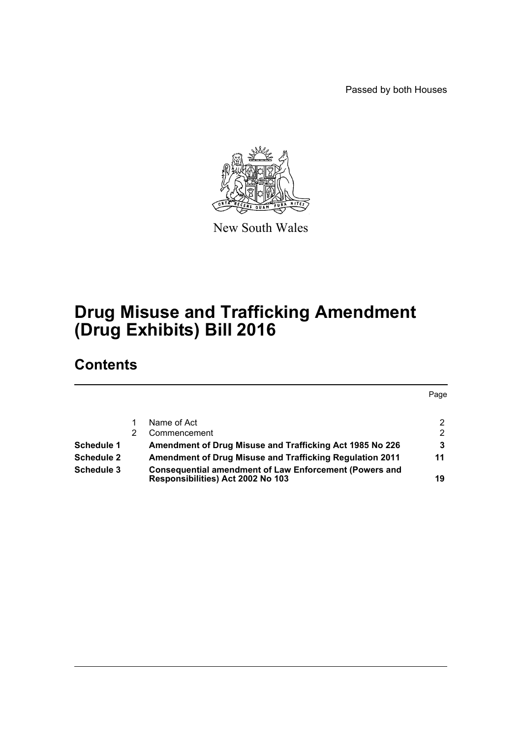Passed by both Houses



New South Wales

# **Drug Misuse and Trafficking Amendment (Drug Exhibits) Bill 2016**

# **Contents**

|                   |                                                                                                    | Page |
|-------------------|----------------------------------------------------------------------------------------------------|------|
|                   | Name of Act                                                                                        |      |
|                   | Commencement                                                                                       | 2    |
| <b>Schedule 1</b> | Amendment of Drug Misuse and Trafficking Act 1985 No 226                                           | 3    |
| <b>Schedule 2</b> | <b>Amendment of Drug Misuse and Trafficking Regulation 2011</b>                                    | 11   |
| Schedule 3        | <b>Consequential amendment of Law Enforcement (Powers and</b><br>Responsibilities) Act 2002 No 103 | 19   |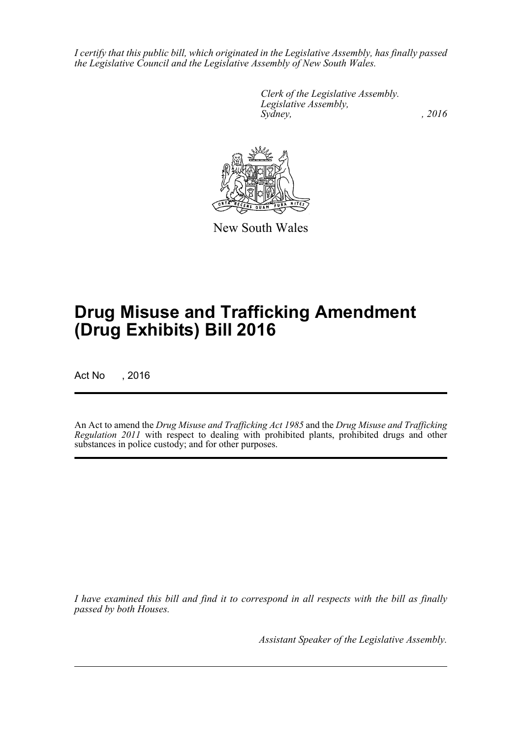*I certify that this public bill, which originated in the Legislative Assembly, has finally passed the Legislative Council and the Legislative Assembly of New South Wales.*

> *Clerk of the Legislative Assembly. Legislative Assembly, Sydney,* , 2016



New South Wales

# **Drug Misuse and Trafficking Amendment (Drug Exhibits) Bill 2016**

Act No , 2016

An Act to amend the *Drug Misuse and Trafficking Act 1985* and the *Drug Misuse and Trafficking Regulation 2011* with respect to dealing with prohibited plants, prohibited drugs and other substances in police custody; and for other purposes.

*I have examined this bill and find it to correspond in all respects with the bill as finally passed by both Houses.*

*Assistant Speaker of the Legislative Assembly.*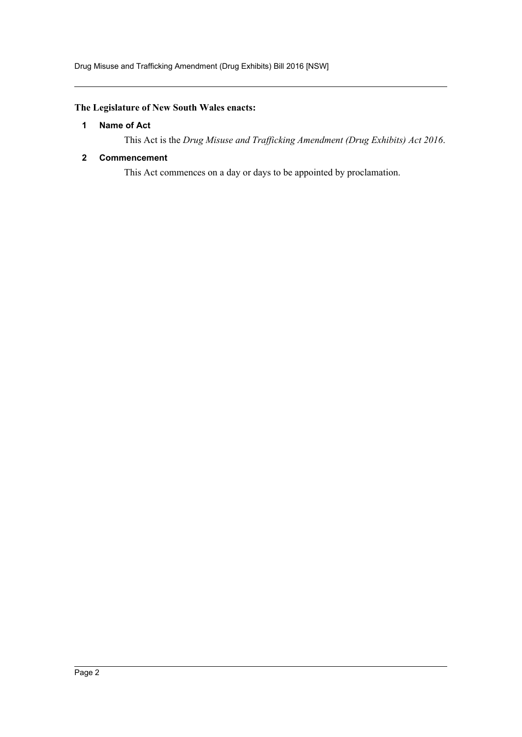# <span id="page-2-0"></span>**The Legislature of New South Wales enacts:**

## **1 Name of Act**

This Act is the *Drug Misuse and Trafficking Amendment (Drug Exhibits) Act 2016*.

## <span id="page-2-1"></span>**2 Commencement**

This Act commences on a day or days to be appointed by proclamation.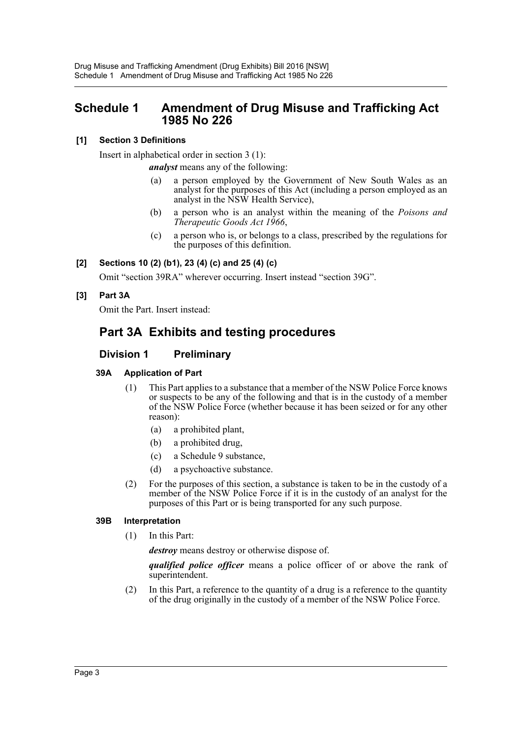# <span id="page-3-0"></span>**Schedule 1 Amendment of Drug Misuse and Trafficking Act 1985 No 226**

# **[1] Section 3 Definitions**

Insert in alphabetical order in section 3 (1):

*analyst* means any of the following:

- (a) a person employed by the Government of New South Wales as an analyst for the purposes of this Act (including a person employed as an analyst in the NSW Health Service),
- (b) a person who is an analyst within the meaning of the *Poisons and Therapeutic Goods Act 1966*,
- (c) a person who is, or belongs to a class, prescribed by the regulations for the purposes of this definition.

# **[2] Sections 10 (2) (b1), 23 (4) (c) and 25 (4) (c)**

Omit "section 39RA" wherever occurring. Insert instead "section 39G".

# **[3] Part 3A**

Omit the Part. Insert instead:

# **Part 3A Exhibits and testing procedures**

# **Division 1 Preliminary**

# **39A Application of Part**

- (1) This Part applies to a substance that a member of the NSW Police Force knows or suspects to be any of the following and that is in the custody of a member of the NSW Police Force (whether because it has been seized or for any other reason):
	- (a) a prohibited plant,
	- (b) a prohibited drug,
	- (c) a Schedule 9 substance,
	- (d) a psychoactive substance.
- (2) For the purposes of this section, a substance is taken to be in the custody of a member of the NSW Police Force if it is in the custody of an analyst for the purposes of this Part or is being transported for any such purpose.

# **39B Interpretation**

(1) In this Part:

*destroy* means destroy or otherwise dispose of.

*qualified police officer* means a police officer of or above the rank of superintendent.

(2) In this Part, a reference to the quantity of a drug is a reference to the quantity of the drug originally in the custody of a member of the NSW Police Force.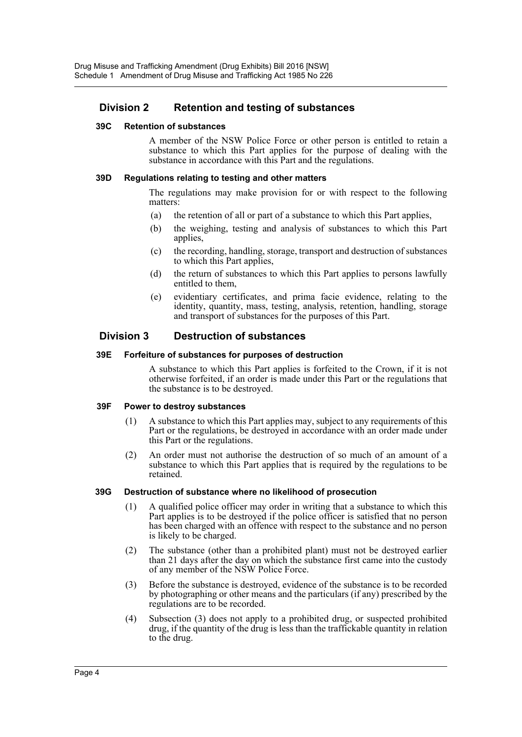# **Division 2 Retention and testing of substances**

#### **39C Retention of substances**

A member of the NSW Police Force or other person is entitled to retain a substance to which this Part applies for the purpose of dealing with the substance in accordance with this Part and the regulations.

### **39D Regulations relating to testing and other matters**

The regulations may make provision for or with respect to the following matters:

- (a) the retention of all or part of a substance to which this Part applies,
- (b) the weighing, testing and analysis of substances to which this Part applies,
- (c) the recording, handling, storage, transport and destruction of substances to which this Part applies,
- (d) the return of substances to which this Part applies to persons lawfully entitled to them,
- (e) evidentiary certificates, and prima facie evidence, relating to the identity, quantity, mass, testing, analysis, retention, handling, storage and transport of substances for the purposes of this Part.

# **Division 3 Destruction of substances**

#### **39E Forfeiture of substances for purposes of destruction**

A substance to which this Part applies is forfeited to the Crown, if it is not otherwise forfeited, if an order is made under this Part or the regulations that the substance is to be destroyed.

## **39F Power to destroy substances**

- (1) A substance to which this Part applies may, subject to any requirements of this Part or the regulations, be destroyed in accordance with an order made under this Part or the regulations.
- (2) An order must not authorise the destruction of so much of an amount of a substance to which this Part applies that is required by the regulations to be retained.

#### **39G Destruction of substance where no likelihood of prosecution**

- (1) A qualified police officer may order in writing that a substance to which this Part applies is to be destroyed if the police officer is satisfied that no person has been charged with an offence with respect to the substance and no person is likely to be charged.
- (2) The substance (other than a prohibited plant) must not be destroyed earlier than 21 days after the day on which the substance first came into the custody of any member of the NSW Police Force.
- (3) Before the substance is destroyed, evidence of the substance is to be recorded by photographing or other means and the particulars (if any) prescribed by the regulations are to be recorded.
- (4) Subsection (3) does not apply to a prohibited drug, or suspected prohibited drug, if the quantity of the drug is less than the traffickable quantity in relation to the drug.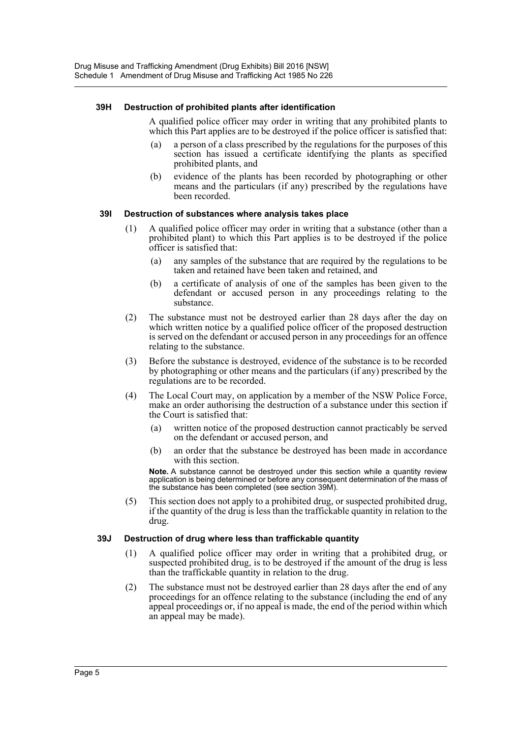### **39H Destruction of prohibited plants after identification**

A qualified police officer may order in writing that any prohibited plants to which this Part applies are to be destroyed if the police officer is satisfied that:

- (a) a person of a class prescribed by the regulations for the purposes of this section has issued a certificate identifying the plants as specified prohibited plants, and
- (b) evidence of the plants has been recorded by photographing or other means and the particulars (if any) prescribed by the regulations have been recorded.

## **39I Destruction of substances where analysis takes place**

- (1) A qualified police officer may order in writing that a substance (other than a prohibited plant) to which this Part applies is to be destroyed if the police officer is satisfied that:
	- (a) any samples of the substance that are required by the regulations to be taken and retained have been taken and retained, and
	- (b) a certificate of analysis of one of the samples has been given to the defendant or accused person in any proceedings relating to the substance.
- (2) The substance must not be destroyed earlier than 28 days after the day on which written notice by a qualified police officer of the proposed destruction is served on the defendant or accused person in any proceedings for an offence relating to the substance.
- (3) Before the substance is destroyed, evidence of the substance is to be recorded by photographing or other means and the particulars (if any) prescribed by the regulations are to be recorded.
- (4) The Local Court may, on application by a member of the NSW Police Force, make an order authorising the destruction of a substance under this section if the Court is satisfied that:
	- (a) written notice of the proposed destruction cannot practicably be served on the defendant or accused person, and
	- (b) an order that the substance be destroyed has been made in accordance with this section.

**Note.** A substance cannot be destroyed under this section while a quantity review application is being determined or before any consequent determination of the mass of the substance has been completed (see section 39M).

(5) This section does not apply to a prohibited drug, or suspected prohibited drug, if the quantity of the drug is less than the traffickable quantity in relation to the drug.

#### **39J Destruction of drug where less than traffickable quantity**

- (1) A qualified police officer may order in writing that a prohibited drug, or suspected prohibited drug, is to be destroyed if the amount of the drug is less than the traffickable quantity in relation to the drug.
- (2) The substance must not be destroyed earlier than 28 days after the end of any proceedings for an offence relating to the substance (including the end of any appeal proceedings or, if no appeal is made, the end of the period within which an appeal may be made).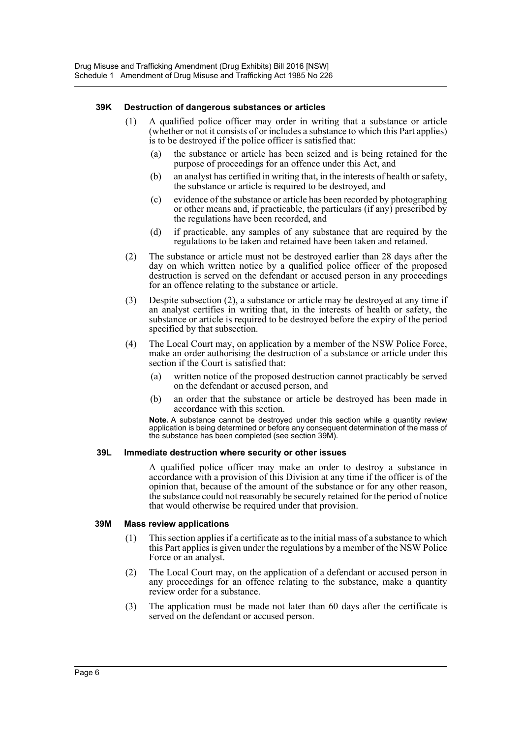#### **39K Destruction of dangerous substances or articles**

- (1) A qualified police officer may order in writing that a substance or article (whether or not it consists of or includes a substance to which this Part applies) is to be destroyed if the police officer is satisfied that:
	- (a) the substance or article has been seized and is being retained for the purpose of proceedings for an offence under this Act, and
	- (b) an analyst has certified in writing that, in the interests of health or safety, the substance or article is required to be destroyed, and
	- (c) evidence of the substance or article has been recorded by photographing or other means and, if practicable, the particulars (if any) prescribed by the regulations have been recorded, and
	- (d) if practicable, any samples of any substance that are required by the regulations to be taken and retained have been taken and retained.
- (2) The substance or article must not be destroyed earlier than 28 days after the day on which written notice by a qualified police officer of the proposed destruction is served on the defendant or accused person in any proceedings for an offence relating to the substance or article.
- (3) Despite subsection (2), a substance or article may be destroyed at any time if an analyst certifies in writing that, in the interests of health or safety, the substance or article is required to be destroyed before the expiry of the period specified by that subsection.
- (4) The Local Court may, on application by a member of the NSW Police Force, make an order authorising the destruction of a substance or article under this section if the Court is satisfied that:
	- (a) written notice of the proposed destruction cannot practicably be served on the defendant or accused person, and
	- (b) an order that the substance or article be destroyed has been made in accordance with this section.

**Note.** A substance cannot be destroyed under this section while a quantity review application is being determined or before any consequent determination of the mass of the substance has been completed (see section 39M).

#### **39L Immediate destruction where security or other issues**

A qualified police officer may make an order to destroy a substance in accordance with a provision of this Division at any time if the officer is of the opinion that, because of the amount of the substance or for any other reason, the substance could not reasonably be securely retained for the period of notice that would otherwise be required under that provision.

#### **39M Mass review applications**

- (1) This section applies if a certificate as to the initial mass of a substance to which this Part applies is given under the regulations by a member of the NSW Police Force or an analyst.
- (2) The Local Court may, on the application of a defendant or accused person in any proceedings for an offence relating to the substance, make a quantity review order for a substance.
- (3) The application must be made not later than 60 days after the certificate is served on the defendant or accused person.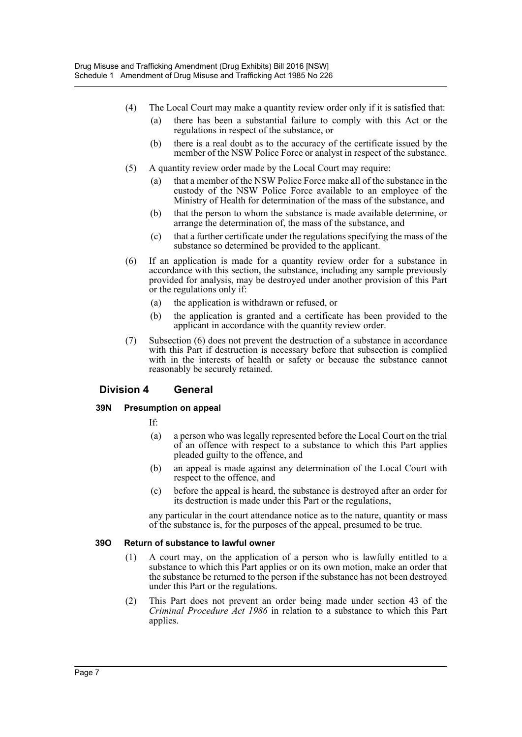- (4) The Local Court may make a quantity review order only if it is satisfied that:
	- (a) there has been a substantial failure to comply with this Act or the regulations in respect of the substance, or
	- (b) there is a real doubt as to the accuracy of the certificate issued by the member of the NSW Police Force or analyst in respect of the substance.
- (5) A quantity review order made by the Local Court may require:
	- (a) that a member of the NSW Police Force make all of the substance in the custody of the NSW Police Force available to an employee of the Ministry of Health for determination of the mass of the substance, and
	- (b) that the person to whom the substance is made available determine, or arrange the determination of, the mass of the substance, and
	- (c) that a further certificate under the regulations specifying the mass of the substance so determined be provided to the applicant.
- (6) If an application is made for a quantity review order for a substance in accordance with this section, the substance, including any sample previously provided for analysis, may be destroyed under another provision of this Part or the regulations only if:
	- (a) the application is withdrawn or refused, or
	- (b) the application is granted and a certificate has been provided to the applicant in accordance with the quantity review order.
- (7) Subsection (6) does not prevent the destruction of a substance in accordance with this Part if destruction is necessary before that subsection is complied with in the interests of health or safety or because the substance cannot reasonably be securely retained.

# **Division 4 General**

#### **39N Presumption on appeal**

- If:
- (a) a person who was legally represented before the Local Court on the trial of an offence with respect to a substance to which this Part applies pleaded guilty to the offence, and
- (b) an appeal is made against any determination of the Local Court with respect to the offence, and
- (c) before the appeal is heard, the substance is destroyed after an order for its destruction is made under this Part or the regulations,

any particular in the court attendance notice as to the nature, quantity or mass of the substance is, for the purposes of the appeal, presumed to be true.

#### **39O Return of substance to lawful owner**

- (1) A court may, on the application of a person who is lawfully entitled to a substance to which this Part applies or on its own motion, make an order that the substance be returned to the person if the substance has not been destroyed under this Part or the regulations.
- (2) This Part does not prevent an order being made under section 43 of the *Criminal Procedure Act 1986* in relation to a substance to which this Part applies.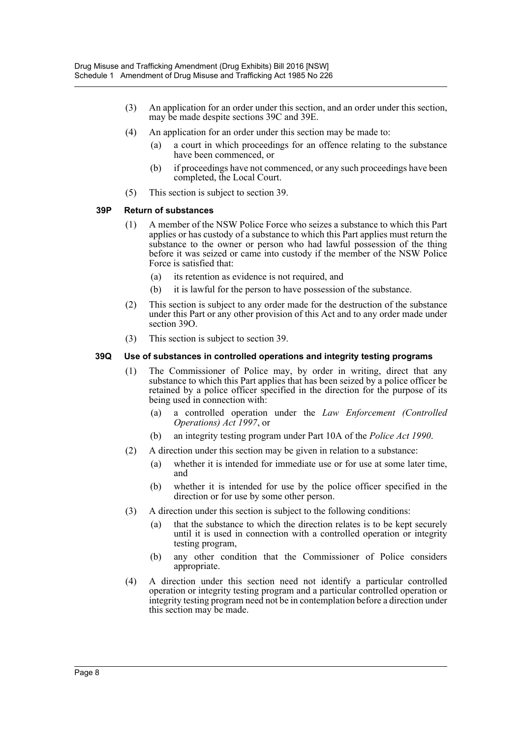- (3) An application for an order under this section, and an order under this section, may be made despite sections 39C and 39E.
- (4) An application for an order under this section may be made to:
	- (a) a court in which proceedings for an offence relating to the substance have been commenced, or
	- (b) if proceedings have not commenced, or any such proceedings have been completed, the Local Court.
- (5) This section is subject to section 39.

#### **39P Return of substances**

- (1) A member of the NSW Police Force who seizes a substance to which this Part applies or has custody of a substance to which this Part applies must return the substance to the owner or person who had lawful possession of the thing before it was seized or came into custody if the member of the NSW Police Force is satisfied that:
	- (a) its retention as evidence is not required, and
	- (b) it is lawful for the person to have possession of the substance.
- (2) This section is subject to any order made for the destruction of the substance under this Part or any other provision of this Act and to any order made under section 39O.
- (3) This section is subject to section 39.

#### **39Q Use of substances in controlled operations and integrity testing programs**

- (1) The Commissioner of Police may, by order in writing, direct that any substance to which this Part applies that has been seized by a police officer be retained by a police officer specified in the direction for the purpose of its being used in connection with:
	- (a) a controlled operation under the *Law Enforcement (Controlled Operations) Act 1997*, or
	- (b) an integrity testing program under Part 10A of the *Police Act 1990*.
- (2) A direction under this section may be given in relation to a substance:
	- (a) whether it is intended for immediate use or for use at some later time, and
	- (b) whether it is intended for use by the police officer specified in the direction or for use by some other person.
- (3) A direction under this section is subject to the following conditions:
	- (a) that the substance to which the direction relates is to be kept securely until it is used in connection with a controlled operation or integrity testing program,
	- (b) any other condition that the Commissioner of Police considers appropriate.
- (4) A direction under this section need not identify a particular controlled operation or integrity testing program and a particular controlled operation or integrity testing program need not be in contemplation before a direction under this section may be made.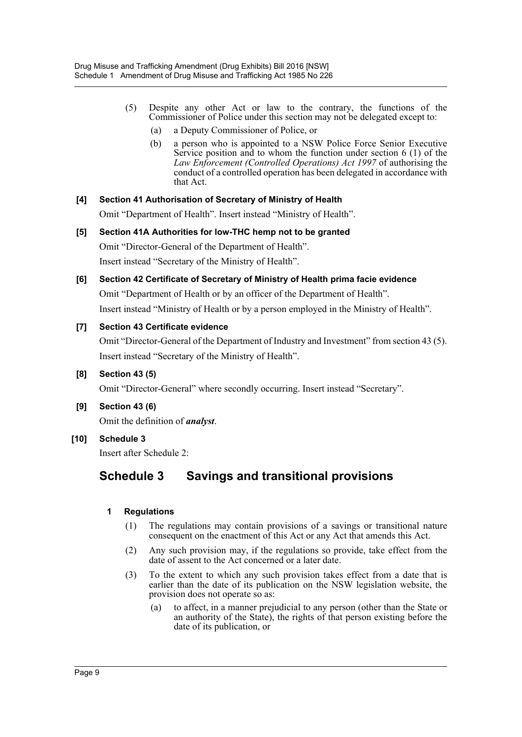- (5) Despite any other Act or law to the contrary, the functions of the Commissioner of Police under this section may not be delegated except to:
	- (a) a Deputy Commissioner of Police, or
	- (b) a person who is appointed to a NSW Police Force Senior Executive Service position and to whom the function under section  $6(1)$  of the *Law Enforcement (Controlled Operations) Act 1997* of authorising the conduct of a controlled operation has been delegated in accordance with that Act.

# **[4] Section 41 Authorisation of Secretary of Ministry of Health**

Omit "Department of Health". Insert instead "Ministry of Health".

- **[5] Section 41A Authorities for low-THC hemp not to be granted** Omit "Director-General of the Department of Health". Insert instead "Secretary of the Ministry of Health".
- **[6] Section 42 Certificate of Secretary of Ministry of Health prima facie evidence** Omit "Department of Health or by an officer of the Department of Health". Insert instead "Ministry of Health or by a person employed in the Ministry of Health".

# **[7] Section 43 Certificate evidence**

Omit "Director-General of the Department of Industry and Investment" from section 43 (5). Insert instead "Secretary of the Ministry of Health".

**[8] Section 43 (5)**

Omit "Director-General" where secondly occurring. Insert instead "Secretary".

**[9] Section 43 (6)**

Omit the definition of *analyst*.

**[10] Schedule 3**

Insert after Schedule 2:

# **Schedule 3 Savings and transitional provisions**

# **1 Regulations**

- (1) The regulations may contain provisions of a savings or transitional nature consequent on the enactment of this Act or any Act that amends this Act.
- (2) Any such provision may, if the regulations so provide, take effect from the date of assent to the Act concerned or a later date.
- (3) To the extent to which any such provision takes effect from a date that is earlier than the date of its publication on the NSW legislation website, the provision does not operate so as:
	- (a) to affect, in a manner prejudicial to any person (other than the State or an authority of the State), the rights of that person existing before the date of its publication, or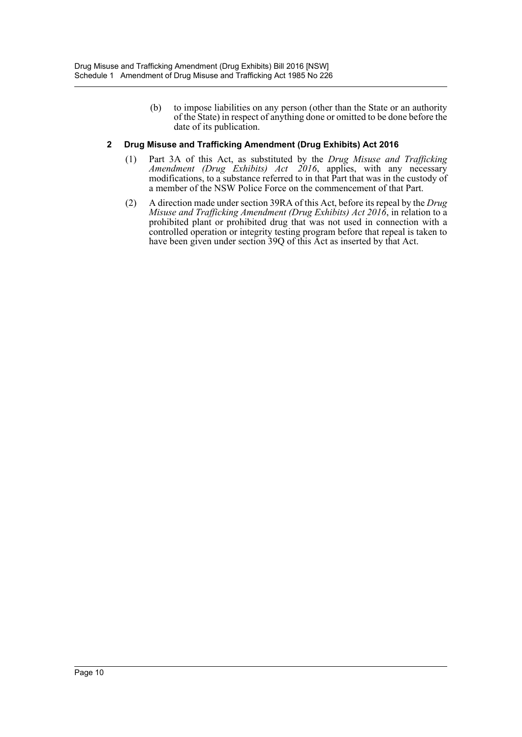(b) to impose liabilities on any person (other than the State or an authority of the State) in respect of anything done or omitted to be done before the date of its publication.

# **2 Drug Misuse and Trafficking Amendment (Drug Exhibits) Act 2016**

- (1) Part 3A of this Act, as substituted by the *Drug Misuse and Trafficking Amendment (Drug Exhibits) Act 2016*, applies, with any necessary modifications, to a substance referred to in that Part that was in the custody of a member of the NSW Police Force on the commencement of that Part.
- (2) A direction made under section 39RA of this Act, before its repeal by the *Drug Misuse and Trafficking Amendment (Drug Exhibits) Act 2016*, in relation to a prohibited plant or prohibited drug that was not used in connection with a controlled operation or integrity testing program before that repeal is taken to have been given under section 39Q of this Act as inserted by that Act.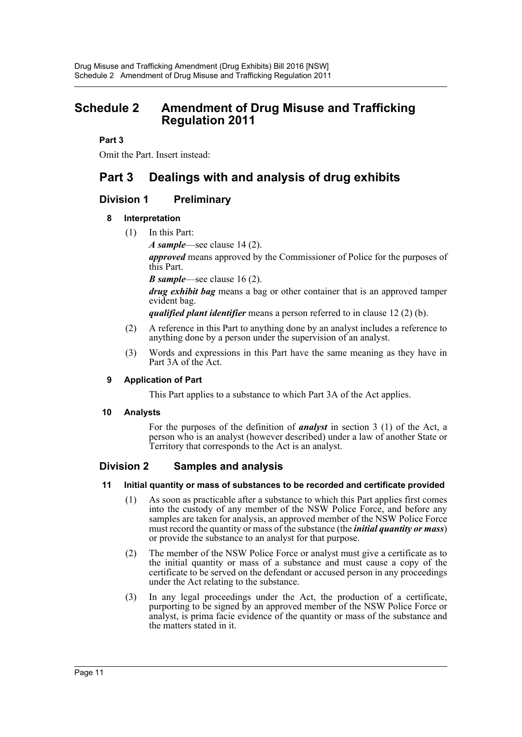# <span id="page-11-0"></span>**Schedule 2 Amendment of Drug Misuse and Trafficking Regulation 2011**

# **Part 3**

Omit the Part. Insert instead:

# **Part 3 Dealings with and analysis of drug exhibits**

# **Division 1 Preliminary**

# **8 Interpretation**

(1) In this Part:

*A sample*—see clause 14 (2).

*approved* means approved by the Commissioner of Police for the purposes of this Part.

*B sample*—see clause 16 (2).

*drug exhibit bag* means a bag or other container that is an approved tamper evident bag.

*qualified plant identifier* means a person referred to in clause 12 (2) (b).

- (2) A reference in this Part to anything done by an analyst includes a reference to anything done by a person under the supervision of an analyst.
- (3) Words and expressions in this Part have the same meaning as they have in Part 3A of the Act.

# **9 Application of Part**

This Part applies to a substance to which Part 3A of the Act applies.

# **10 Analysts**

For the purposes of the definition of *analyst* in section 3 (1) of the Act, a person who is an analyst (however described) under a law of another State or Territory that corresponds to the Act is an analyst.

# **Division 2 Samples and analysis**

#### **11 Initial quantity or mass of substances to be recorded and certificate provided**

- (1) As soon as practicable after a substance to which this Part applies first comes into the custody of any member of the NSW Police Force, and before any samples are taken for analysis, an approved member of the NSW Police Force must record the quantity or mass of the substance (the *initial quantity or mass*) or provide the substance to an analyst for that purpose.
- (2) The member of the NSW Police Force or analyst must give a certificate as to the initial quantity or mass of a substance and must cause a copy of the certificate to be served on the defendant or accused person in any proceedings under the Act relating to the substance.
- (3) In any legal proceedings under the Act, the production of a certificate, purporting to be signed by an approved member of the NSW Police Force or analyst, is prima facie evidence of the quantity or mass of the substance and the matters stated in it.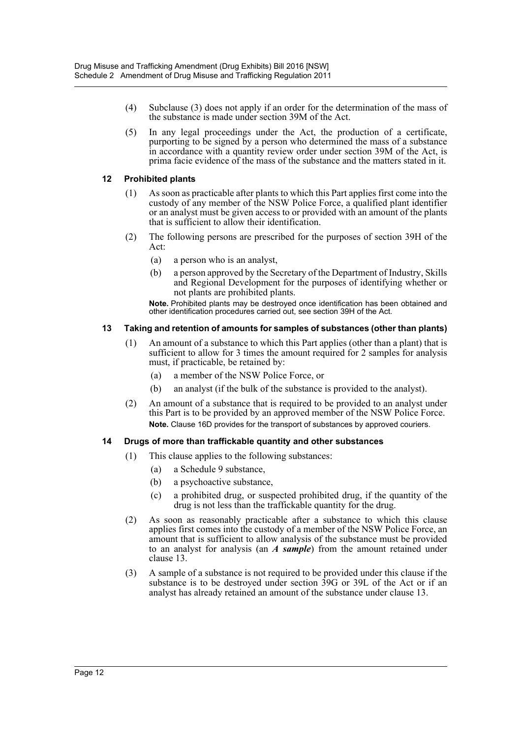- (4) Subclause (3) does not apply if an order for the determination of the mass of the substance is made under section 39M of the Act.
- (5) In any legal proceedings under the Act, the production of a certificate, purporting to be signed by a person who determined the mass of a substance in accordance with a quantity review order under section 39M of the Act, is prima facie evidence of the mass of the substance and the matters stated in it.

### **12 Prohibited plants**

- (1) As soon as practicable after plants to which this Part applies first come into the custody of any member of the NSW Police Force, a qualified plant identifier or an analyst must be given access to or provided with an amount of the plants that is sufficient to allow their identification.
- (2) The following persons are prescribed for the purposes of section 39H of the Act:
	- (a) a person who is an analyst,
	- (b) a person approved by the Secretary of the Department of Industry, Skills and Regional Development for the purposes of identifying whether or not plants are prohibited plants.

**Note.** Prohibited plants may be destroyed once identification has been obtained and other identification procedures carried out, see section 39H of the Act.

## **13 Taking and retention of amounts for samples of substances (other than plants)**

- (1) An amount of a substance to which this Part applies (other than a plant) that is sufficient to allow for 3 times the amount required for 2 samples for analysis must, if practicable, be retained by:
	- (a) a member of the NSW Police Force, or
	- (b) an analyst (if the bulk of the substance is provided to the analyst).
- (2) An amount of a substance that is required to be provided to an analyst under this Part is to be provided by an approved member of the NSW Police Force. **Note.** Clause 16D provides for the transport of substances by approved couriers.

# **14 Drugs of more than traffickable quantity and other substances**

- (1) This clause applies to the following substances:
	- (a) a Schedule 9 substance,
	- (b) a psychoactive substance,
	- (c) a prohibited drug, or suspected prohibited drug, if the quantity of the drug is not less than the traffickable quantity for the drug.
- (2) As soon as reasonably practicable after a substance to which this clause applies first comes into the custody of a member of the NSW Police Force, an amount that is sufficient to allow analysis of the substance must be provided to an analyst for analysis (an *A sample*) from the amount retained under clause 13.
- (3) A sample of a substance is not required to be provided under this clause if the substance is to be destroyed under section 39G or 39L of the Act or if an analyst has already retained an amount of the substance under clause 13.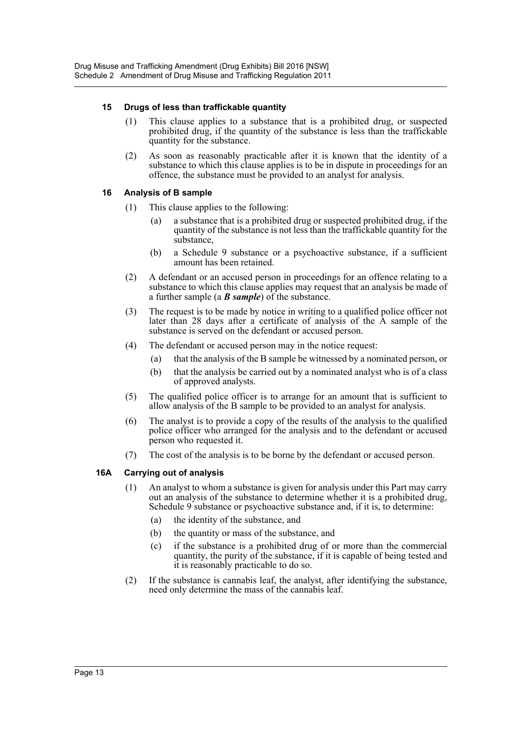## **15 Drugs of less than traffickable quantity**

- (1) This clause applies to a substance that is a prohibited drug, or suspected prohibited drug, if the quantity of the substance is less than the traffickable quantity for the substance.
- (2) As soon as reasonably practicable after it is known that the identity of a substance to which this clause applies is to be in dispute in proceedings for an offence, the substance must be provided to an analyst for analysis.

## **16 Analysis of B sample**

- (1) This clause applies to the following:
	- (a) a substance that is a prohibited drug or suspected prohibited drug, if the quantity of the substance is not less than the traffickable quantity for the substance,
	- (b) a Schedule 9 substance or a psychoactive substance, if a sufficient amount has been retained.
- (2) A defendant or an accused person in proceedings for an offence relating to a substance to which this clause applies may request that an analysis be made of a further sample (a *B sample*) of the substance.
- (3) The request is to be made by notice in writing to a qualified police officer not later than 28 days after a certificate of analysis of the  $\hat{A}$  sample of the substance is served on the defendant or accused person.
- (4) The defendant or accused person may in the notice request:
	- (a) that the analysis of the B sample be witnessed by a nominated person, or
	- (b) that the analysis be carried out by a nominated analyst who is of a class of approved analysts.
- (5) The qualified police officer is to arrange for an amount that is sufficient to allow analysis of the B sample to be provided to an analyst for analysis.
- (6) The analyst is to provide a copy of the results of the analysis to the qualified police officer who arranged for the analysis and to the defendant or accused person who requested it.
- (7) The cost of the analysis is to be borne by the defendant or accused person.

# **16A Carrying out of analysis**

- (1) An analyst to whom a substance is given for analysis under this Part may carry out an analysis of the substance to determine whether it is a prohibited drug, Schedule 9 substance or psychoactive substance and, if it is, to determine:
	- (a) the identity of the substance, and
	- (b) the quantity or mass of the substance, and
	- (c) if the substance is a prohibited drug of or more than the commercial quantity, the purity of the substance, if it is capable of being tested and it is reasonably practicable to do so.
- (2) If the substance is cannabis leaf, the analyst, after identifying the substance, need only determine the mass of the cannabis leaf.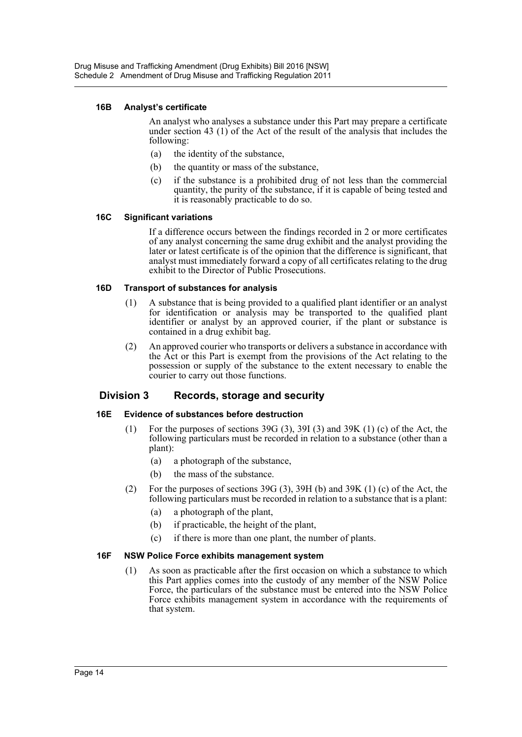#### **16B Analyst's certificate**

An analyst who analyses a substance under this Part may prepare a certificate under section 43 (1) of the Act of the result of the analysis that includes the following:

- (a) the identity of the substance,
- (b) the quantity or mass of the substance,
- (c) if the substance is a prohibited drug of not less than the commercial quantity, the purity of the substance, if it is capable of being tested and it is reasonably practicable to do so.

#### **16C Significant variations**

If a difference occurs between the findings recorded in 2 or more certificates of any analyst concerning the same drug exhibit and the analyst providing the later or latest certificate is of the opinion that the difference is significant, that analyst must immediately forward a copy of all certificates relating to the drug exhibit to the Director of Public Prosecutions.

## **16D Transport of substances for analysis**

- (1) A substance that is being provided to a qualified plant identifier or an analyst for identification or analysis may be transported to the qualified plant identifier or analyst by an approved courier, if the plant or substance is contained in a drug exhibit bag.
- (2) An approved courier who transports or delivers a substance in accordance with the Act or this Part is exempt from the provisions of the Act relating to the possession or supply of the substance to the extent necessary to enable the courier to carry out those functions.

# **Division 3 Records, storage and security**

#### **16E Evidence of substances before destruction**

- (1) For the purposes of sections 39G (3), 39I (3) and 39K (1) (c) of the Act, the following particulars must be recorded in relation to a substance (other than a plant):
	- (a) a photograph of the substance,
	- (b) the mass of the substance.
- (2) For the purposes of sections 39G (3), 39H (b) and 39K (1) (c) of the Act, the following particulars must be recorded in relation to a substance that is a plant:
	- (a) a photograph of the plant,
	- (b) if practicable, the height of the plant,
	- (c) if there is more than one plant, the number of plants.

#### **16F NSW Police Force exhibits management system**

(1) As soon as practicable after the first occasion on which a substance to which this Part applies comes into the custody of any member of the NSW Police Force, the particulars of the substance must be entered into the NSW Police Force exhibits management system in accordance with the requirements of that system.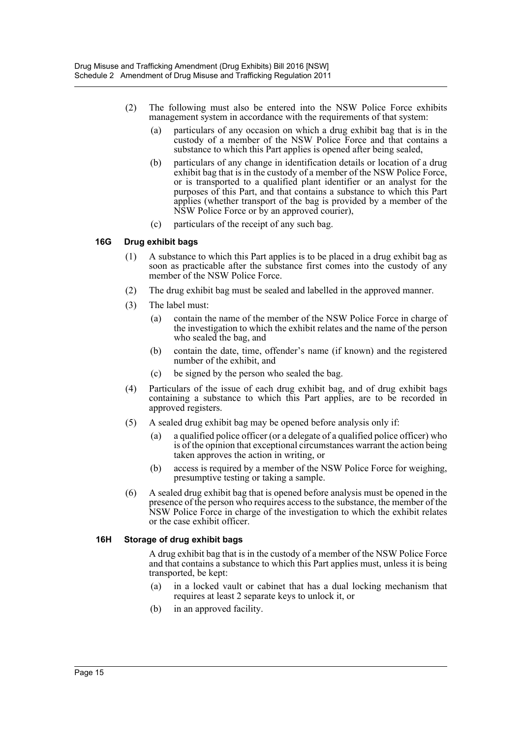- (2) The following must also be entered into the NSW Police Force exhibits management system in accordance with the requirements of that system:
	- (a) particulars of any occasion on which a drug exhibit bag that is in the custody of a member of the NSW Police Force and that contains a substance to which this Part applies is opened after being sealed,
	- (b) particulars of any change in identification details or location of a drug exhibit bag that is in the custody of a member of the NSW Police Force, or is transported to a qualified plant identifier or an analyst for the purposes of this Part, and that contains a substance to which this Part applies (whether transport of the bag is provided by a member of the NSW Police Force or by an approved courier),
	- (c) particulars of the receipt of any such bag.

## **16G Drug exhibit bags**

- (1) A substance to which this Part applies is to be placed in a drug exhibit bag as soon as practicable after the substance first comes into the custody of any member of the NSW Police Force.
- (2) The drug exhibit bag must be sealed and labelled in the approved manner.
- (3) The label must:
	- (a) contain the name of the member of the NSW Police Force in charge of the investigation to which the exhibit relates and the name of the person who sealed the bag, and
	- (b) contain the date, time, offender's name (if known) and the registered number of the exhibit, and
	- (c) be signed by the person who sealed the bag.
- (4) Particulars of the issue of each drug exhibit bag, and of drug exhibit bags containing a substance to which this Part applies, are to be recorded in approved registers.
- (5) A sealed drug exhibit bag may be opened before analysis only if:
	- (a) a qualified police officer (or a delegate of a qualified police officer) who is of the opinion that exceptional circumstances warrant the action being taken approves the action in writing, or
	- (b) access is required by a member of the NSW Police Force for weighing, presumptive testing or taking a sample.
- (6) A sealed drug exhibit bag that is opened before analysis must be opened in the presence of the person who requires access to the substance, the member of the NSW Police Force in charge of the investigation to which the exhibit relates or the case exhibit officer.

#### **16H Storage of drug exhibit bags**

A drug exhibit bag that is in the custody of a member of the NSW Police Force and that contains a substance to which this Part applies must, unless it is being transported, be kept:

- (a) in a locked vault or cabinet that has a dual locking mechanism that requires at least 2 separate keys to unlock it, or
- (b) in an approved facility.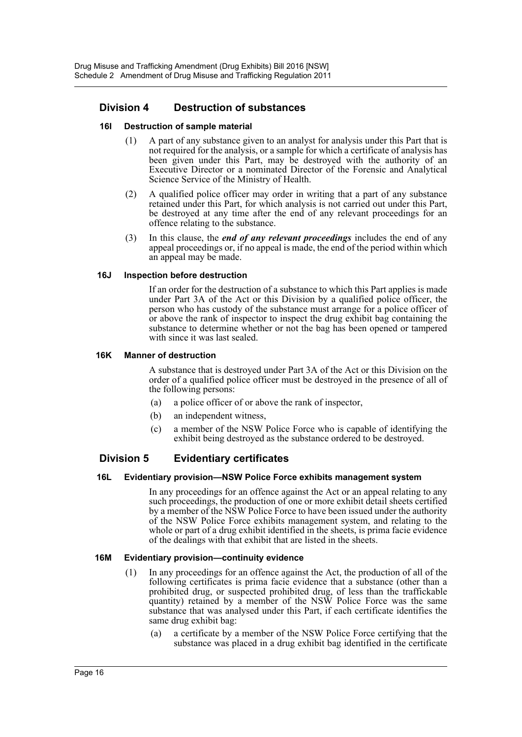# **Division 4 Destruction of substances**

### **16I Destruction of sample material**

- (1) A part of any substance given to an analyst for analysis under this Part that is not required for the analysis, or a sample for which a certificate of analysis has been given under this Part, may be destroyed with the authority of an Executive Director or a nominated Director of the Forensic and Analytical Science Service of the Ministry of Health.
- (2) A qualified police officer may order in writing that a part of any substance retained under this Part, for which analysis is not carried out under this Part, be destroyed at any time after the end of any relevant proceedings for an offence relating to the substance.
- (3) In this clause, the *end of any relevant proceedings* includes the end of any appeal proceedings or, if no appeal is made, the end of the period within which an appeal may be made.

#### **16J Inspection before destruction**

If an order for the destruction of a substance to which this Part applies is made under Part 3A of the Act or this Division by a qualified police officer, the person who has custody of the substance must arrange for a police officer of or above the rank of inspector to inspect the drug exhibit bag containing the substance to determine whether or not the bag has been opened or tampered with since it was last sealed.

#### **16K Manner of destruction**

A substance that is destroyed under Part 3A of the Act or this Division on the order of a qualified police officer must be destroyed in the presence of all of the following persons:

- (a) a police officer of or above the rank of inspector,
- (b) an independent witness,
- (c) a member of the NSW Police Force who is capable of identifying the exhibit being destroyed as the substance ordered to be destroyed.

# **Division 5 Evidentiary certificates**

#### **16L Evidentiary provision—NSW Police Force exhibits management system**

In any proceedings for an offence against the Act or an appeal relating to any such proceedings, the production of one or more exhibit detail sheets certified by a member of the NSW Police Force to have been issued under the authority of the NSW Police Force exhibits management system, and relating to the whole or part of a drug exhibit identified in the sheets, is prima facie evidence of the dealings with that exhibit that are listed in the sheets.

#### **16M Evidentiary provision—continuity evidence**

- (1) In any proceedings for an offence against the Act, the production of all of the following certificates is prima facie evidence that a substance (other than a prohibited drug, or suspected prohibited drug, of less than the traffickable quantity) retained by a member of the NSW Police Force was the same substance that was analysed under this Part, if each certificate identifies the same drug exhibit bag:
	- (a) a certificate by a member of the NSW Police Force certifying that the substance was placed in a drug exhibit bag identified in the certificate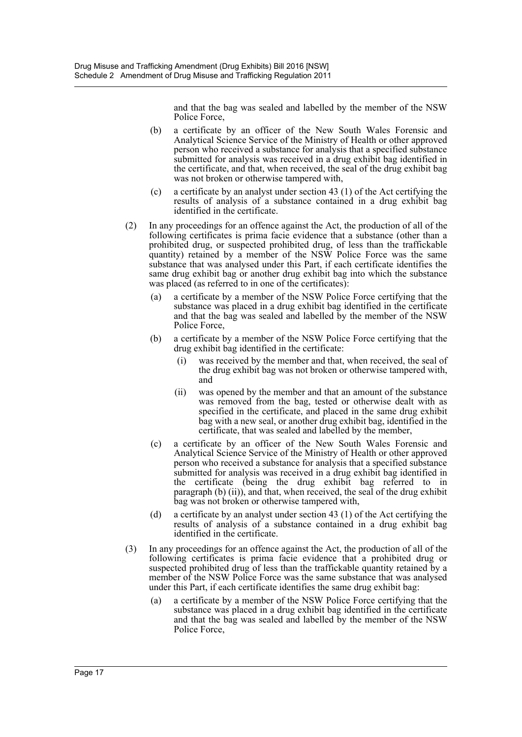and that the bag was sealed and labelled by the member of the NSW Police Force,

- (b) a certificate by an officer of the New South Wales Forensic and Analytical Science Service of the Ministry of Health or other approved person who received a substance for analysis that a specified substance submitted for analysis was received in a drug exhibit bag identified in the certificate, and that, when received, the seal of the drug exhibit bag was not broken or otherwise tampered with,
- (c) a certificate by an analyst under section 43 (1) of the Act certifying the results of analysis of a substance contained in a drug exhibit bag identified in the certificate.
- (2) In any proceedings for an offence against the Act, the production of all of the following certificates is prima facie evidence that a substance (other than a prohibited drug, or suspected prohibited drug, of less than the traffickable quantity) retained by a member of the NSW Police Force was the same substance that was analysed under this Part, if each certificate identifies the same drug exhibit bag or another drug exhibit bag into which the substance was placed (as referred to in one of the certificates):
	- (a) a certificate by a member of the NSW Police Force certifying that the substance was placed in a drug exhibit bag identified in the certificate and that the bag was sealed and labelled by the member of the NSW Police Force,
	- (b) a certificate by a member of the NSW Police Force certifying that the drug exhibit bag identified in the certificate:
		- was received by the member and that, when received, the seal of the drug exhibit bag was not broken or otherwise tampered with, and
		- (ii) was opened by the member and that an amount of the substance was removed from the bag, tested or otherwise dealt with as specified in the certificate, and placed in the same drug exhibit bag with a new seal, or another drug exhibit bag, identified in the certificate, that was sealed and labelled by the member,
	- (c) a certificate by an officer of the New South Wales Forensic and Analytical Science Service of the Ministry of Health or other approved person who received a substance for analysis that a specified substance submitted for analysis was received in a drug exhibit bag identified in the certificate (being the drug exhibit bag referred to in paragraph (b) (ii)), and that, when received, the seal of the drug exhibit bag was not broken or otherwise tampered with,
	- (d) a certificate by an analyst under section 43 (1) of the Act certifying the results of analysis of a substance contained in a drug exhibit bag identified in the certificate.
- (3) In any proceedings for an offence against the Act, the production of all of the following certificates is prima facie evidence that a prohibited drug or suspected prohibited drug of less than the traffickable quantity retained by a member of the NSW Police Force was the same substance that was analysed under this Part, if each certificate identifies the same drug exhibit bag:
	- (a) a certificate by a member of the NSW Police Force certifying that the substance was placed in a drug exhibit bag identified in the certificate and that the bag was sealed and labelled by the member of the NSW Police Force,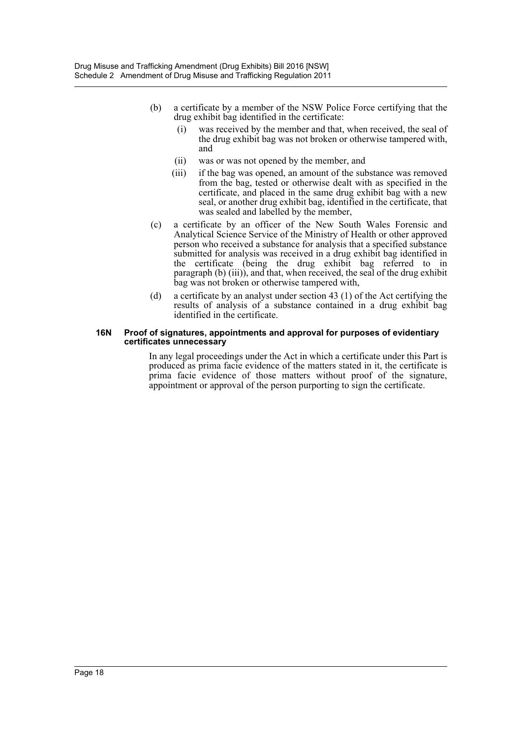- (b) a certificate by a member of the NSW Police Force certifying that the drug exhibit bag identified in the certificate:
	- (i) was received by the member and that, when received, the seal of the drug exhibit bag was not broken or otherwise tampered with, and
	- (ii) was or was not opened by the member, and
	- (iii) if the bag was opened, an amount of the substance was removed from the bag, tested or otherwise dealt with as specified in the certificate, and placed in the same drug exhibit bag with a new seal, or another drug exhibit bag, identified in the certificate, that was sealed and labelled by the member,
- (c) a certificate by an officer of the New South Wales Forensic and Analytical Science Service of the Ministry of Health or other approved person who received a substance for analysis that a specified substance submitted for analysis was received in a drug exhibit bag identified in the certificate (being the drug exhibit bag referred to in paragraph (b) (iii)), and that, when received, the seal of the drug exhibit bag was not broken or otherwise tampered with,
- (d) a certificate by an analyst under section 43 (1) of the Act certifying the results of analysis of a substance contained in a drug exhibit bag identified in the certificate.

#### **16N Proof of signatures, appointments and approval for purposes of evidentiary certificates unnecessary**

In any legal proceedings under the Act in which a certificate under this Part is produced as prima facie evidence of the matters stated in it, the certificate is prima facie evidence of those matters without proof of the signature, appointment or approval of the person purporting to sign the certificate.